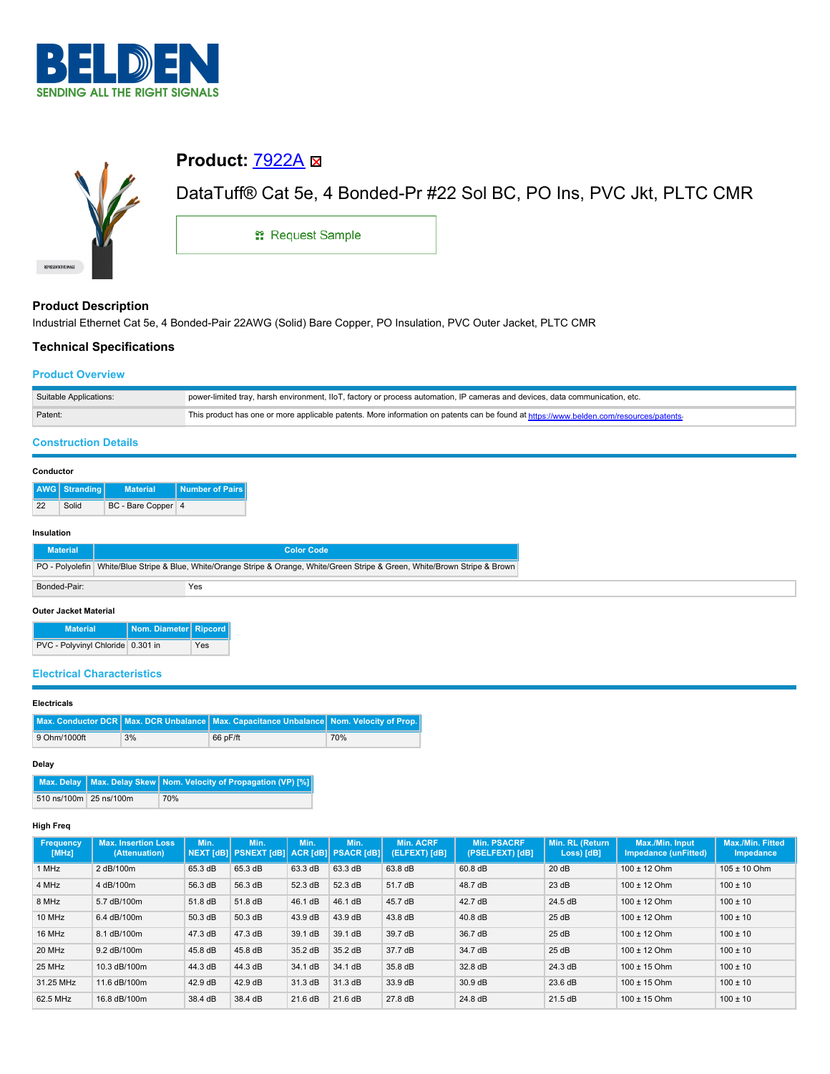



# **Product: [7922A](https://catalog.belden.com/index.cfm?event=pd&p=PF_7922A&tab=downloads) ⊠**

DataTuff® Cat 5e, 4 Bonded-Pr #22 Sol BC, PO Ins, PVC Jkt, PLTC CMR

**::** Request Sample

## **Product Description**

Industrial Ethernet Cat 5e, 4 Bonded-Pair 22AWG (Solid) Bare Copper, PO Insulation, PVC Outer Jacket, PLTC CMR

## **Technical Specifications**

## **Product Overview**

| Suitable Applications: | power-limited tray, harsh environment, IIoT, factory or process automation, IP cameras and devices, data communication, etc.           |
|------------------------|----------------------------------------------------------------------------------------------------------------------------------------|
| Patent:                | This product has one or more applicable patents. More information on patents can be found at https://www.belden.com/resources/patents- |

## **Construction Details**

#### **Conductor**

|    | AWG Stranding | <b>Material</b>    | Number of Pairs |
|----|---------------|--------------------|-----------------|
| 22 | Solid         | BC - Bare Copper 4 |                 |

#### **Insulation**

| <b>Material</b>              |                                                                                                                                | <b>Color Code</b> |  |
|------------------------------|--------------------------------------------------------------------------------------------------------------------------------|-------------------|--|
|                              | PO - Polyolefin White/Blue Stripe & Blue, White/Orange Stripe & Orange, White/Green Stripe & Green, White/Brown Stripe & Brown |                   |  |
| Bonded-Pair:                 |                                                                                                                                | Yes               |  |
| <b>Outer Jacket Material</b> |                                                                                                                                |                   |  |

**Material Nom. Diameter Ripcord** PVC - Polyvinyl Chloride 0.301 in Yes

## **Electrical Characteristics**

#### **Electricals**

|              |    | Max. Conductor DCR   Max. DCR Unbalance   Max. Capacitance Unbalance   Nom. Velocity of Prop. |     |
|--------------|----|-----------------------------------------------------------------------------------------------|-----|
| 9 Ohm/1000ft | 3% | 66 pF/ft                                                                                      | 70% |

#### **Delay**

|                        | Max. Delay   Max. Delay Skew   Nom. Velocity of Propagation (VP) [%] |
|------------------------|----------------------------------------------------------------------|
| 510 ns/100m 25 ns/100m | 70%                                                                  |

#### **High Freq**

| <b>Frequency</b><br>[MHz] | <b>Max. Insertion Loss</b><br>(Attenuation) | Min.    | Min.<br>NEXT [dB] PSNEXT [dB] ACR [dB] PSACR [dB] | Min.    | Min.    | <b>Min. ACRF</b><br>(ELFEXT) [dB] | <b>Min. PSACRF</b><br>(PSELFEXT) [dB] | Min. RL (Return<br>Loss) [dB] | Max./Min. Input<br>Impedance (unFitted) | Max./Min. Fitted<br><b>Impedance</b> |
|---------------------------|---------------------------------------------|---------|---------------------------------------------------|---------|---------|-----------------------------------|---------------------------------------|-------------------------------|-----------------------------------------|--------------------------------------|
| 1 MHz                     | 2 dB/100m                                   | 65.3 dB | 65.3 dB                                           | 63.3 dB | 63.3 dB | 63.8 dB                           | 60.8 dB                               | 20dB                          | $100 \pm 12$ Ohm                        | $105 \pm 10$ Ohm                     |
| 4 MHz                     | 4 dB/100m                                   | 56.3 dB | 56.3 dB                                           | 52.3 dB | 52.3 dB | 51.7 dB                           | 48.7 dB                               | 23 dB                         | $100 \pm 12$ Ohm                        | $100 \pm 10$                         |
| 8 MHz                     | 5.7 dB/100m                                 | 51.8 dB | 51.8 dB                                           | 46.1 dB | 46.1 dB | 45.7 dB                           | 42.7 dB                               | 24.5 dB                       | $100 \pm 12$ Ohm                        | $100 \pm 10$                         |
| 10 MHz                    | 6.4 dB/100m                                 | 50.3 dB | 50.3 dB                                           | 43.9 dB | 43.9 dB | 43.8 dB                           | 40.8 dB                               | 25dB                          | $100 \pm 12$ Ohm                        | $100 \pm 10$                         |
| 16 MHz                    | 8.1 dB/100m                                 | 47.3 dB | 47.3 dB                                           | 39.1 dB | 39.1 dB | 39.7 dB                           | 36.7 dB                               | 25dB                          | $100 \pm 12$ Ohm                        | $100 \pm 10$                         |
| 20 MHz                    | 9.2 dB/100m                                 | 45.8 dB | 45.8 dB                                           | 35.2 dB | 35.2 dB | 37.7 dB                           | 34.7 dB                               | 25dB                          | $100 \pm 12$ Ohm                        | $100 \pm 10$                         |
| 25 MHz                    | 10.3 dB/100m                                | 44.3 dB | 44.3 dB                                           | 34.1 dB | 34.1 dB | 35.8 dB                           | 32.8 dB                               | 24.3 dB                       | $100 \pm 15$ Ohm                        | $100 \pm 10$                         |
| 31.25 MHz                 | 11.6 dB/100m                                | 42.9 dB | 42.9 dB                                           | 31.3 dB | 31.3 dB | 33.9 dB                           | 30.9 dB                               | 23.6 dB                       | $100 \pm 15$ Ohm                        | $100 \pm 10$                         |
| 62.5 MHz                  | 16.8 dB/100m                                | 38.4 dB | 38.4 dB                                           | 21.6 dB | 21.6 dB | 27.8 dB                           | 24.8 dB                               | 21.5 dB                       | $100 \pm 15$ Ohm                        | $100 \pm 10$                         |